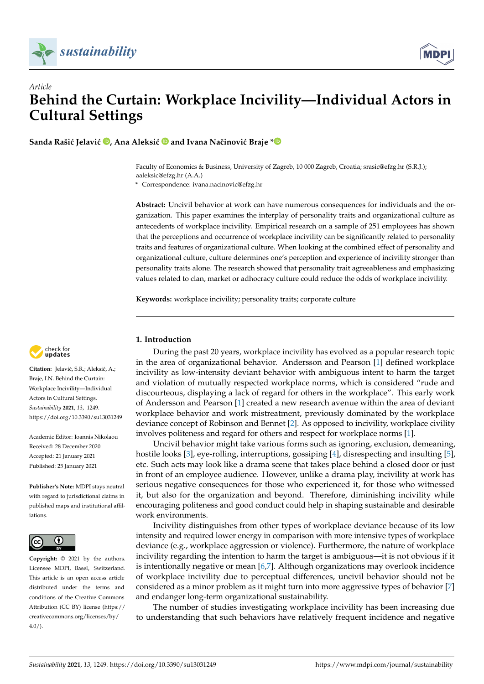



**Sanda Rašić Jelavić <b>D**[,](https://orcid.org/0000-0001-7142-3762) Ana Aleksić **D** and Ivana Načinović Braje  $*$  **D** 

Faculty of Economics & Business, University of Zagreb, 10 000 Zagreb, Croatia; srasic@efzg.hr (S.R.J.); aaleksic@efzg.hr (A.A.)

**\*** Correspondence: ivana.nacinovic@efzg.hr

**Abstract:** Uncivil behavior at work can have numerous consequences for individuals and the organization. This paper examines the interplay of personality traits and organizational culture as antecedents of workplace incivility. Empirical research on a sample of 251 employees has shown that the perceptions and occurrence of workplace incivility can be significantly related to personality traits and features of organizational culture. When looking at the combined effect of personality and organizational culture, culture determines one's perception and experience of incivility stronger than personality traits alone. The research showed that personality trait agreeableness and emphasizing values related to clan, market or adhocracy culture could reduce the odds of workplace incivility.

**Keywords:** workplace incivility; personality traits; corporate culture



Citation: Jelavić, S.R.; Aleksić, A.; Braje, I.N. Behind the Curtain: Workplace Incivility—Individual Actors in Cultural Settings. *Sustainability* **2021**, *13*, 1249. <https://doi.org/10.3390/su13031249>

Academic Editor: Ioannis Nikolaou Received: 28 December 2020 Accepted: 21 January 2021 Published: 25 January 2021

**Publisher's Note:** MDPI stays neutral with regard to jurisdictional claims in published maps and institutional affiliations.



**Copyright:** © 2021 by the authors. Licensee MDPI, Basel, Switzerland. This article is an open access article distributed under the terms and conditions of the Creative Commons Attribution (CC BY) license (https:/[/](https://creativecommons.org/licenses/by/4.0/) [creativecommons.org/licenses/by/](https://creativecommons.org/licenses/by/4.0/) 4.0/).

# **1. Introduction**

During the past 20 years, workplace incivility has evolved as a popular research topic in the area of organizational behavior. Andersson and Pearson [\[1\]](#page-10-0) defined workplace incivility as low-intensity deviant behavior with ambiguous intent to harm the target and violation of mutually respected workplace norms, which is considered "rude and discourteous, displaying a lack of regard for others in the workplace". This early work of Andersson and Pearson [\[1\]](#page-10-0) created a new research avenue within the area of deviant workplace behavior and work mistreatment, previously dominated by the workplace deviance concept of Robinson and Bennet [\[2\]](#page-10-1). As opposed to incivility, workplace civility involves politeness and regard for others and respect for workplace norms [\[1\]](#page-10-0).

Uncivil behavior might take various forms such as ignoring, exclusion, demeaning, hostile looks [\[3\]](#page-10-2), eye-rolling, interruptions, gossiping [\[4\]](#page-10-3), disrespecting and insulting [\[5\]](#page-10-4), etc. Such acts may look like a drama scene that takes place behind a closed door or just in front of an employee audience. However, unlike a drama play, incivility at work has serious negative consequences for those who experienced it, for those who witnessed it, but also for the organization and beyond. Therefore, diminishing incivility while encouraging politeness and good conduct could help in shaping sustainable and desirable work environments.

Incivility distinguishes from other types of workplace deviance because of its low intensity and required lower energy in comparison with more intensive types of workplace deviance (e.g., workplace aggression or violence). Furthermore, the nature of workplace incivility regarding the intention to harm the target is ambiguous—it is not obvious if it is intentionally negative or mean [\[6,](#page-10-5)[7\]](#page-10-6). Although organizations may overlook incidence of workplace incivility due to perceptual differences, uncivil behavior should not be considered as a minor problem as it might turn into more aggressive types of behavior [\[7\]](#page-10-6) and endanger long-term organizational sustainability.

The number of studies investigating workplace incivility has been increasing due to understanding that such behaviors have relatively frequent incidence and negative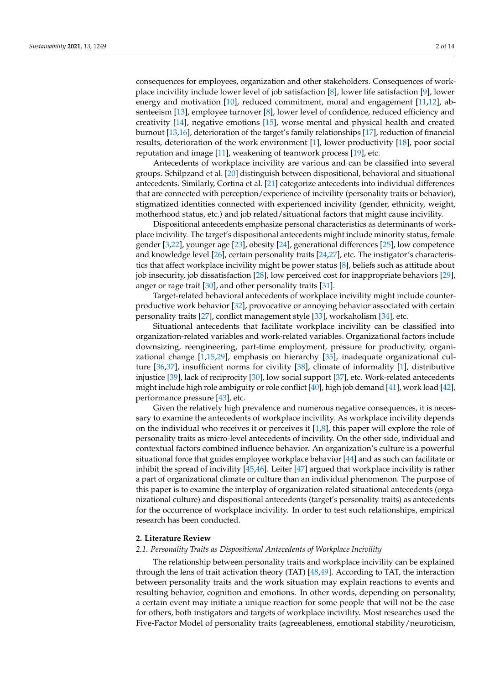consequences for employees, organization and other stakeholders. Consequences of workplace incivility include lower level of job satisfaction [\[8\]](#page-10-7), lower life satisfaction [\[9\]](#page-10-8), lower energy and motivation [\[10\]](#page-10-9), reduced commitment, moral and engagement [\[11,](#page-10-10)[12\]](#page-10-11), absenteeism [\[13\]](#page-10-12), employee turnover [\[8\]](#page-10-7), lower level of confidence, reduced efficiency and creativity [\[14\]](#page-11-0), negative emotions [\[15\]](#page-11-1), worse mental and physical health and created burnout [\[13](#page-10-12)[,16\]](#page-11-2), deterioration of the target's family relationships [\[17\]](#page-11-3), reduction of financial results, deterioration of the work environment [\[1\]](#page-10-0), lower productivity [\[18\]](#page-11-4), poor social reputation and image [\[11\]](#page-10-10), weakening of teamwork process [\[19\]](#page-11-5), etc.

Antecedents of workplace incivility are various and can be classified into several groups. Schilpzand et al. [\[20\]](#page-11-6) distinguish between dispositional, behavioral and situational antecedents. Similarly, Cortina et al. [\[21\]](#page-11-7) categorize antecedents into individual differences that are connected with perception/experience of incivility (personality traits or behavior), stigmatized identities connected with experienced incivility (gender, ethnicity, weight, motherhood status, etc.) and job related/situational factors that might cause incivility.

Dispositional antecedents emphasize personal characteristics as determinants of workplace incivility. The target's dispositional antecedents might include minority status, female gender [\[3](#page-10-2)[,22\]](#page-11-8), younger age [\[23\]](#page-11-9), obesity [\[24\]](#page-11-10), generational differences [\[25\]](#page-11-11), low competence and knowledge level [\[26\]](#page-11-12), certain personality traits [\[24](#page-11-10)[,27\]](#page-11-13), etc. The instigator's characteristics that affect workplace incivility might be power status [\[8\]](#page-10-7), beliefs such as attitude about job insecurity, job dissatisfaction [\[28\]](#page-11-14), low perceived cost for inappropriate behaviors [\[29\]](#page-11-15), anger or rage trait [\[30\]](#page-11-16), and other personality traits [\[31\]](#page-11-17).

Target-related behavioral antecedents of workplace incivility might include counterproductive work behavior [\[32\]](#page-11-18), provocative or annoying behavior associated with certain personality traits [\[27\]](#page-11-13), conflict management style [\[33\]](#page-11-19), workaholism [\[34\]](#page-11-20), etc.

Situational antecedents that facilitate workplace incivility can be classified into organization-related variables and work-related variables. Organizational factors include downsizing, reengineering, part-time employment, pressure for productivity, organizational change [\[1](#page-10-0)[,15](#page-11-1)[,29\]](#page-11-15), emphasis on hierarchy [\[35\]](#page-11-21), inadequate organizational culture [\[36](#page-11-22)[,37\]](#page-11-23), insufficient norms for civility [\[38\]](#page-11-24), climate of informality [\[1\]](#page-10-0), distributive injustice [\[39\]](#page-11-25), lack of reciprocity [\[30\]](#page-11-16), low social support [\[37\]](#page-11-23), etc. Work-related antecedents might include high role ambiguity or role conflict [\[40\]](#page-11-26), high job demand [\[41\]](#page-11-27), work load [\[42\]](#page-11-28), performance pressure [\[43\]](#page-11-29), etc.

Given the relatively high prevalence and numerous negative consequences, it is necessary to examine the antecedents of workplace incivility. As workplace incivility depends on the individual who receives it or perceives it  $[1,8]$  $[1,8]$ , this paper will explore the role of personality traits as micro-level antecedents of incivility. On the other side, individual and contextual factors combined influence behavior. An organization's culture is a powerful situational force that guides employee workplace behavior [\[44\]](#page-11-30) and as such can facilitate or inhibit the spread of incivility [\[45,](#page-12-0)[46\]](#page-12-1). Leiter [\[47\]](#page-12-2) argued that workplace incivility is rather a part of organizational climate or culture than an individual phenomenon. The purpose of this paper is to examine the interplay of organization-related situational antecedents (organizational culture) and dispositional antecedents (target's personality traits) as antecedents for the occurrence of workplace incivility. In order to test such relationships, empirical research has been conducted.

### **2. Literature Review**

## *2.1. Personality Traits as Dispositional Antecedents of Workplace Incivility*

The relationship between personality traits and workplace incivility can be explained through the lens of trait activation theory (TAT) [\[48](#page-12-3)[,49\]](#page-12-4). According to TAT, the interaction between personality traits and the work situation may explain reactions to events and resulting behavior, cognition and emotions. In other words, depending on personality, a certain event may initiate a unique reaction for some people that will not be the case for others, both instigators and targets of workplace incivility. Most researches used the Five-Factor Model of personality traits (agreeableness, emotional stability/neuroticism,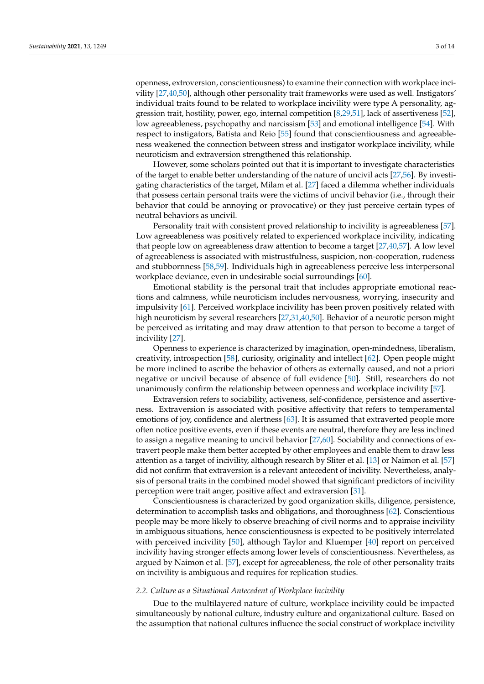openness, extroversion, conscientiousness) to examine their connection with workplace incivility [\[27,](#page-11-13)[40,](#page-11-26)[50\]](#page-12-5), although other personality trait frameworks were used as well. Instigators' individual traits found to be related to workplace incivility were type A personality, aggression trait, hostility, power, ego, internal competition [\[8,](#page-10-7)[29,](#page-11-15)[51\]](#page-12-6), lack of assertiveness [\[52\]](#page-12-7), low agreeableness, psychopathy and narcissism [\[53\]](#page-12-8) and emotional intelligence [\[54\]](#page-12-9). With respect to instigators, Batista and Reio [\[55\]](#page-12-10) found that conscientiousness and agreeableness weakened the connection between stress and instigator workplace incivility, while neuroticism and extraversion strengthened this relationship.

However, some scholars pointed out that it is important to investigate characteristics of the target to enable better understanding of the nature of uncivil acts [\[27,](#page-11-13)[56\]](#page-12-11). By investigating characteristics of the target, Milam et al. [\[27\]](#page-11-13) faced a dilemma whether individuals that possess certain personal traits were the victims of uncivil behavior (i.e., through their behavior that could be annoying or provocative) or they just perceive certain types of neutral behaviors as uncivil.

Personality trait with consistent proved relationship to incivility is agreeableness [\[57\]](#page-12-12). Low agreeableness was positively related to experienced workplace incivility, indicating that people low on agreeableness draw attention to become a target [\[27](#page-11-13)[,40](#page-11-26)[,57\]](#page-12-12). A low level of agreeableness is associated with mistrustfulness, suspicion, non-cooperation, rudeness and stubbornness [\[58,](#page-12-13)[59\]](#page-12-14). Individuals high in agreeableness perceive less interpersonal workplace deviance, even in undesirable social surroundings [\[60\]](#page-12-15).

Emotional stability is the personal trait that includes appropriate emotional reactions and calmness, while neuroticism includes nervousness, worrying, insecurity and impulsivity [\[61\]](#page-12-16). Perceived workplace incivility has been proven positively related with high neuroticism by several researchers [\[27,](#page-11-13)[31,](#page-11-17)[40,](#page-11-26)[50\]](#page-12-5). Behavior of a neurotic person might be perceived as irritating and may draw attention to that person to become a target of incivility [\[27\]](#page-11-13).

Openness to experience is characterized by imagination, open-mindedness, liberalism, creativity, introspection [\[58\]](#page-12-13), curiosity, originality and intellect [\[62\]](#page-12-17). Open people might be more inclined to ascribe the behavior of others as externally caused, and not a priori negative or uncivil because of absence of full evidence [\[50\]](#page-12-5). Still, researchers do not unanimously confirm the relationship between openness and workplace incivility [\[57\]](#page-12-12).

Extraversion refers to sociability, activeness, self-confidence, persistence and assertiveness. Extraversion is associated with positive affectivity that refers to temperamental emotions of joy, confidence and alertness [\[63\]](#page-12-18). It is assumed that extraverted people more often notice positive events, even if these events are neutral, therefore they are less inclined to assign a negative meaning to uncivil behavior [\[27,](#page-11-13)[60\]](#page-12-15). Sociability and connections of extravert people make them better accepted by other employees and enable them to draw less attention as a target of incivility, although research by Sliter et al. [\[13\]](#page-10-12) or Naimon et al. [\[57\]](#page-12-12) did not confirm that extraversion is a relevant antecedent of incivility. Nevertheless, analysis of personal traits in the combined model showed that significant predictors of incivility perception were trait anger, positive affect and extraversion [\[31\]](#page-11-17).

Conscientiousness is characterized by good organization skills, diligence, persistence, determination to accomplish tasks and obligations, and thoroughness [\[62\]](#page-12-17). Conscientious people may be more likely to observe breaching of civil norms and to appraise incivility in ambiguous situations, hence conscientiousness is expected to be positively interrelated with perceived incivility [\[50\]](#page-12-5), although Taylor and Kluemper [\[40\]](#page-11-26) report on perceived incivility having stronger effects among lower levels of conscientiousness. Nevertheless, as argued by Naimon et al. [\[57\]](#page-12-12), except for agreeableness, the role of other personality traits on incivility is ambiguous and requires for replication studies.

## *2.2. Culture as a Situational Antecedent of Workplace Incivility*

Due to the multilayered nature of culture, workplace incivility could be impacted simultaneously by national culture, industry culture and organizational culture. Based on the assumption that national cultures influence the social construct of workplace incivility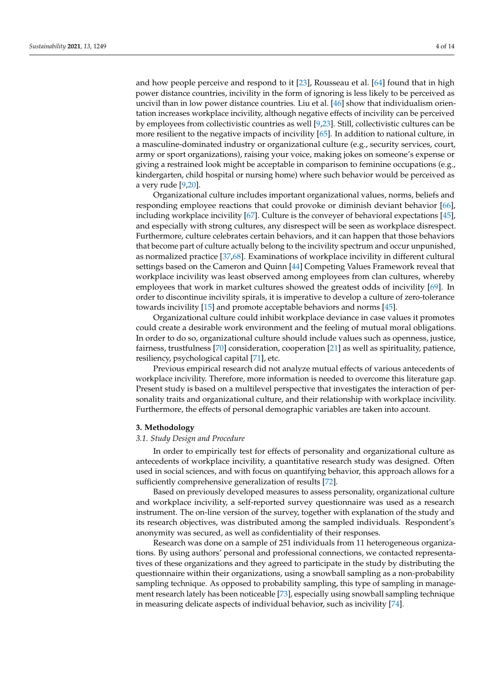and how people perceive and respond to it [\[23\]](#page-11-9), Rousseau et al. [\[64\]](#page-12-19) found that in high power distance countries, incivility in the form of ignoring is less likely to be perceived as uncivil than in low power distance countries. Liu et al. [\[46\]](#page-12-1) show that individualism orientation increases workplace incivility, although negative effects of incivility can be perceived by employees from collectivistic countries as well [\[9,](#page-10-8)[23\]](#page-11-9). Still, collectivistic cultures can be more resilient to the negative impacts of incivility [\[65\]](#page-12-20). In addition to national culture, in a masculine-dominated industry or organizational culture (e.g., security services, court, army or sport organizations), raising your voice, making jokes on someone's expense or giving a restrained look might be acceptable in comparison to feminine occupations (e.g., kindergarten, child hospital or nursing home) where such behavior would be perceived as a very rude [\[9,](#page-10-8)[20\]](#page-11-6).

Organizational culture includes important organizational values, norms, beliefs and responding employee reactions that could provoke or diminish deviant behavior [\[66\]](#page-12-21), including workplace incivility [\[67\]](#page-12-22). Culture is the conveyer of behavioral expectations [\[45\]](#page-12-0), and especially with strong cultures, any disrespect will be seen as workplace disrespect. Furthermore, culture celebrates certain behaviors, and it can happen that those behaviors that become part of culture actually belong to the incivility spectrum and occur unpunished, as normalized practice [\[37](#page-11-23)[,68\]](#page-12-23). Examinations of workplace incivility in different cultural settings based on the Cameron and Quinn [\[44\]](#page-11-30) Competing Values Framework reveal that workplace incivility was least observed among employees from clan cultures, whereby employees that work in market cultures showed the greatest odds of incivility [\[69\]](#page-12-24). In order to discontinue incivility spirals, it is imperative to develop a culture of zero-tolerance towards incivility [\[15\]](#page-11-1) and promote acceptable behaviors and norms [\[45\]](#page-12-0).

Organizational culture could inhibit workplace deviance in case values it promotes could create a desirable work environment and the feeling of mutual moral obligations. In order to do so, organizational culture should include values such as openness, justice, fairness, trustfulness [\[70\]](#page-12-25) consideration, cooperation [\[21\]](#page-11-7) as well as spirituality, patience, resiliency, psychological capital [\[71\]](#page-12-26), etc.

Previous empirical research did not analyze mutual effects of various antecedents of workplace incivility. Therefore, more information is needed to overcome this literature gap. Present study is based on a multilevel perspective that investigates the interaction of personality traits and organizational culture, and their relationship with workplace incivility. Furthermore, the effects of personal demographic variables are taken into account.

#### **3. Methodology**

## *3.1. Study Design and Procedure*

In order to empirically test for effects of personality and organizational culture as antecedents of workplace incivility, a quantitative research study was designed. Often used in social sciences, and with focus on quantifying behavior, this approach allows for a sufficiently comprehensive generalization of results [\[72\]](#page-12-27).

Based on previously developed measures to assess personality, organizational culture and workplace incivility, a self-reported survey questionnaire was used as a research instrument. The on-line version of the survey, together with explanation of the study and its research objectives, was distributed among the sampled individuals. Respondent's anonymity was secured, as well as confidentiality of their responses.

Research was done on a sample of 251 individuals from 11 heterogeneous organizations. By using authors' personal and professional connections, we contacted representatives of these organizations and they agreed to participate in the study by distributing the questionnaire within their organizations, using a snowball sampling as a non-probability sampling technique. As opposed to probability sampling, this type of sampling in management research lately has been noticeable [\[73\]](#page-12-28), especially using snowball sampling technique in measuring delicate aspects of individual behavior, such as incivility [\[74\]](#page-12-29).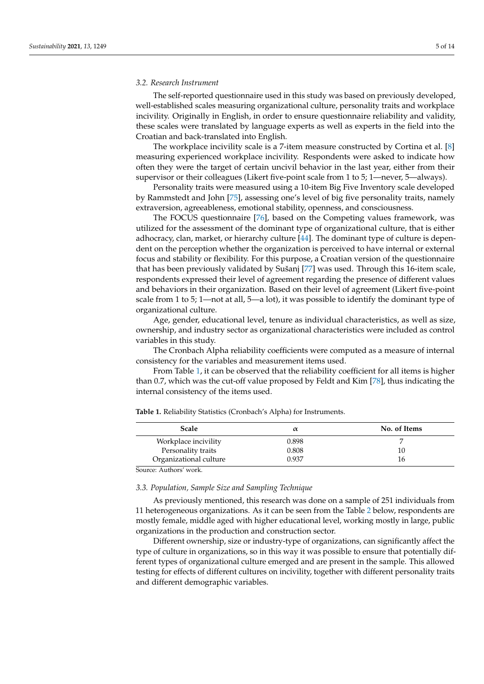### *3.2. Research Instrument*

The self-reported questionnaire used in this study was based on previously developed, well-established scales measuring organizational culture, personality traits and workplace incivility. Originally in English, in order to ensure questionnaire reliability and validity, these scales were translated by language experts as well as experts in the field into the Croatian and back-translated into English.

The workplace incivility scale is a 7-item measure constructed by Cortina et al. [\[8\]](#page-10-7) measuring experienced workplace incivility. Respondents were asked to indicate how often they were the target of certain uncivil behavior in the last year, either from their supervisor or their colleagues (Likert five-point scale from 1 to 5; 1—never, 5—always).

Personality traits were measured using a 10-item Big Five Inventory scale developed by Rammstedt and John [\[75\]](#page-13-0), assessing one's level of big five personality traits, namely extraversion, agreeableness, emotional stability, openness, and consciousness.

The FOCUS questionnaire [\[76\]](#page-13-1), based on the Competing values framework, was utilized for the assessment of the dominant type of organizational culture, that is either adhocracy, clan, market, or hierarchy culture [\[44\]](#page-11-30). The dominant type of culture is dependent on the perception whether the organization is perceived to have internal or external focus and stability or flexibility. For this purpose, a Croatian version of the questionnaire that has been previously validated by Sušanj [\[77\]](#page-13-2) was used. Through this 16-item scale, respondents expressed their level of agreement regarding the presence of different values and behaviors in their organization. Based on their level of agreement (Likert five-point scale from 1 to 5; 1—not at all, 5—a lot), it was possible to identify the dominant type of organizational culture.

Age, gender, educational level, tenure as individual characteristics, as well as size, ownership, and industry sector as organizational characteristics were included as control variables in this study.

The Cronbach Alpha reliability coefficients were computed as a measure of internal consistency for the variables and measurement items used.

From Table [1,](#page-4-0) it can be observed that the reliability coefficient for all items is higher than 0.7, which was the cut-off value proposed by Feldt and Kim [\[78\]](#page-13-3), thus indicating the internal consistency of the items used.

| Scale                  |       | No. of Items |  |  |  |
|------------------------|-------|--------------|--|--|--|
| Workplace incivility   | 0.898 |              |  |  |  |
| Personality traits     | 0.808 | 10           |  |  |  |
| Organizational culture | 0.937 | 16           |  |  |  |

<span id="page-4-0"></span>**Table 1.** Reliability Statistics (Cronbach's Alpha) for Instruments.

Source: Authors' work.

# *3.3. Population, Sample Size and Sampling Technique*

As previously mentioned, this research was done on a sample of 251 individuals from 11 heterogeneous organizations. As it can be seen from the Table [2](#page-5-0) below, respondents are mostly female, middle aged with higher educational level, working mostly in large, public organizations in the production and construction sector.

Different ownership, size or industry-type of organizations, can significantly affect the type of culture in organizations, so in this way it was possible to ensure that potentially different types of organizational culture emerged and are present in the sample. This allowed testing for effects of different cultures on incivility, together with different personality traits and different demographic variables.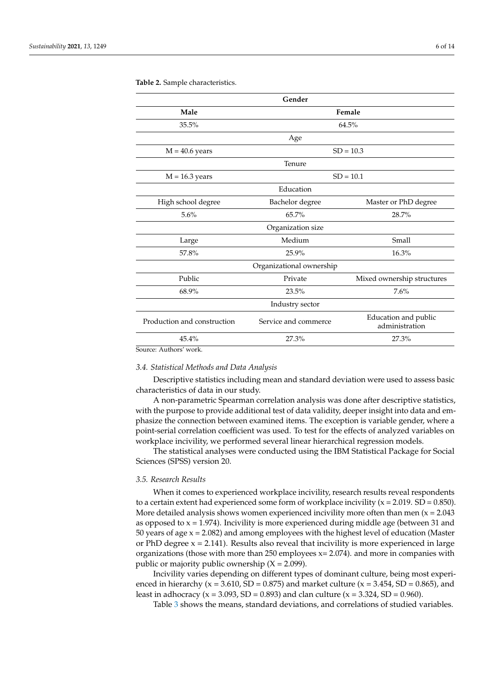| Gender                          |                                        |  |  |  |  |  |  |  |  |
|---------------------------------|----------------------------------------|--|--|--|--|--|--|--|--|
| Female                          |                                        |  |  |  |  |  |  |  |  |
| 64.5%                           |                                        |  |  |  |  |  |  |  |  |
| Age                             |                                        |  |  |  |  |  |  |  |  |
| $SD = 10.3$<br>$M = 40.6$ years |                                        |  |  |  |  |  |  |  |  |
| Tenure                          |                                        |  |  |  |  |  |  |  |  |
| $SD = 10.1$                     |                                        |  |  |  |  |  |  |  |  |
| Education                       |                                        |  |  |  |  |  |  |  |  |
| Bachelor degree                 | Master or PhD degree                   |  |  |  |  |  |  |  |  |
| 65.7%                           | 28.7%                                  |  |  |  |  |  |  |  |  |
| Organization size               |                                        |  |  |  |  |  |  |  |  |
| Medium<br>Small<br>Large        |                                        |  |  |  |  |  |  |  |  |
| 25.9%                           | 16.3%                                  |  |  |  |  |  |  |  |  |
| Organizational ownership        |                                        |  |  |  |  |  |  |  |  |
| Private                         | Mixed ownership structures             |  |  |  |  |  |  |  |  |
| 23.5%                           | 7.6%                                   |  |  |  |  |  |  |  |  |
| Industry sector                 |                                        |  |  |  |  |  |  |  |  |
| Service and commerce            | Education and public<br>administration |  |  |  |  |  |  |  |  |
| 27.3%<br>27.3%                  |                                        |  |  |  |  |  |  |  |  |
|                                 |                                        |  |  |  |  |  |  |  |  |

#### <span id="page-5-0"></span>**Table 2.** Sample characteristics.

ource: Authors' work.

## *3.4. Statistical Methods and Data Analysis*

Descriptive statistics including mean and standard deviation were used to assess basic characteristics of data in our study.

A non-parametric Spearman correlation analysis was done after descriptive statistics, with the purpose to provide additional test of data validity, deeper insight into data and emphasize the connection between examined items. The exception is variable gender, where a point-serial correlation coefficient was used. To test for the effects of analyzed variables on workplace incivility, we performed several linear hierarchical regression models.

The statistical analyses were conducted using the IBM Statistical Package for Social Sciences (SPSS) version 20.

## *3.5. Research Results*

When it comes to experienced workplace incivility, research results reveal respondents to a certain extent had experienced some form of workplace incivility  $(x = 2.019$ . SD = 0.850). More detailed analysis shows women experienced incivility more often than men  $(x = 2.043)$ as opposed to  $x = 1.974$ ). Incivility is more experienced during middle age (between 31 and 50 years of age  $x = 2.082$ ) and among employees with the highest level of education (Master or PhD degree  $x = 2.141$ ). Results also reveal that incivility is more experienced in large organizations (those with more than 250 employees  $x = 2.074$ ). and more in companies with public or majority public ownership  $(X = 2.099)$ .

Incivility varies depending on different types of dominant culture, being most experienced in hierarchy ( $x = 3.610$ , SD = 0.875) and market culture ( $x = 3.454$ , SD = 0.865), and least in adhocracy ( $x = 3.093$ , SD = 0.893) and clan culture ( $x = 3.324$ , SD = 0.960).

Table [3](#page-6-0) shows the means, standard deviations, and correlations of studied variables.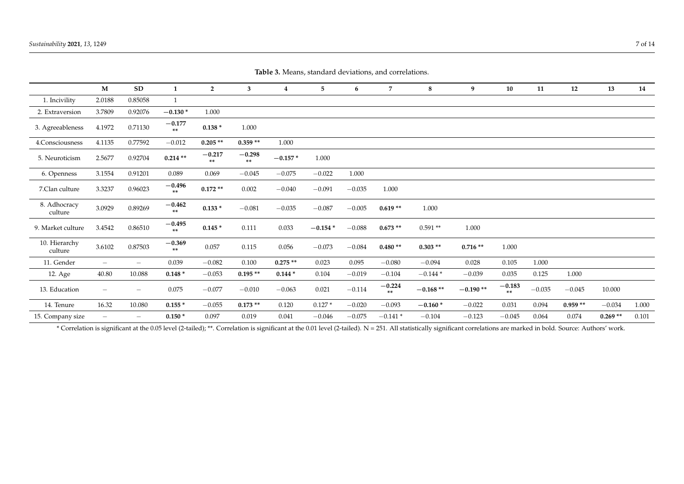| Table 9. incluis, standard deviations, and concluitors. |                          |                          |                  |                |                |           |           |          |                |            |            |                |          |           |           |       |
|---------------------------------------------------------|--------------------------|--------------------------|------------------|----------------|----------------|-----------|-----------|----------|----------------|------------|------------|----------------|----------|-----------|-----------|-------|
|                                                         | M                        | SD                       | 1                | $\overline{2}$ | 3              | 4         | 5         | 6        | 7              | 8          | 9          | 10             | 11       | 12        | 13        | 14    |
| 1. Incivility                                           | 2.0188                   | 0.85058                  | 1                |                |                |           |           |          |                |            |            |                |          |           |           |       |
| 2. Extraversion                                         | 3.7809                   | 0.92076                  | $-0.130*$        | 1.000          |                |           |           |          |                |            |            |                |          |           |           |       |
| 3. Agreeableness                                        | 4.1972                   | 0.71130                  | $-0.177$<br>**   | $0.138*$       | 1.000          |           |           |          |                |            |            |                |          |           |           |       |
| 4.Consciousness                                         | 4.1135                   | 0.77592                  | $-0.012$         | $0.205**$      | $0.359**$      | 1.000     |           |          |                |            |            |                |          |           |           |       |
| 5. Neuroticism                                          | 2.5677                   | 0.92704                  | $0.214**$        | $-0.217$<br>** | $-0.298$<br>** | $-0.157*$ | 1.000     |          |                |            |            |                |          |           |           |       |
| 6. Openness                                             | 3.1554                   | 0.91201                  | 0.089            | 0.069          | $-0.045$       | $-0.075$  | $-0.022$  | 1.000    |                |            |            |                |          |           |           |       |
| 7.Clan culture                                          | 3.3237                   | 0.96023                  | $-0.496$<br>$**$ | $0.172**$      | 0.002          | $-0.040$  | $-0.091$  | $-0.035$ | 1.000          |            |            |                |          |           |           |       |
| 8. Adhocracy<br>culture                                 | 3.0929                   | 0.89269                  | $-0.462$<br>$**$ | $0.133*$       | $-0.081$       | $-0.035$  | $-0.087$  | $-0.005$ | $0.619**$      | 1.000      |            |                |          |           |           |       |
| 9. Market culture                                       | 3.4542                   | 0.86510                  | $-0.495$<br>**   | $0.145*$       | 0.111          | 0.033     | $-0.154*$ | $-0.088$ | $0.673**$      | $0.591**$  | 1.000      |                |          |           |           |       |
| 10. Hierarchy<br>culture                                | 3.6102                   | 0.87503                  | $-0.369$<br>**   | 0.057          | 0.115          | 0.056     | $-0.073$  | $-0.084$ | $0.480**$      | $0.303**$  | $0.716**$  | 1.000          |          |           |           |       |
| 11. Gender                                              | $\qquad \qquad -$        | $\overline{\phantom{m}}$ | 0.039            | $-0.082$       | 0.100          | $0.275**$ | 0.023     | 0.095    | $-0.080$       | $-0.094$   | 0.028      | 0.105          | 1.000    |           |           |       |
| 12. Age                                                 | 40.80                    | 10.088                   | $0.148*$         | $-0.053$       | $0.195**$      | $0.144*$  | 0.104     | $-0.019$ | $-0.104$       | $-0.144*$  | $-0.039$   | 0.035          | 0.125    | 1.000     |           |       |
| 13. Education                                           |                          | $\overline{\phantom{m}}$ | 0.075            | $-0.077$       | $-0.010$       | $-0.063$  | 0.021     | $-0.114$ | $-0.224$<br>** | $-0.168**$ | $-0.190**$ | $-0.183$<br>** | $-0.035$ | $-0.045$  | 10.000    |       |
| 14. Tenure                                              | 16.32                    | 10.080                   | $0.155*$         | $-0.055$       | $0.173**$      | 0.120     | $0.127*$  | $-0.020$ | $-0.093$       | $-0.160*$  | $-0.022$   | 0.031          | 0.094    | $0.959**$ | $-0.034$  | 1.000 |
| 15. Company size                                        | $\overline{\phantom{0}}$ | $\overline{\phantom{m}}$ | $0.150*$         | 0.097          | 0.019          | 0.041     | $-0.046$  | $-0.075$ | $-0.141*$      | $-0.104$   | $-0.123$   | $-0.045$       | 0.064    | 0.074     | $0.269**$ | 0.101 |

**Table 3.** Means, standard deviations, and correlations.

<span id="page-6-0"></span>\* Correlation is significant at the 0.05 level (2-tailed); \*\*. Correlation is significant at the 0.01 level (2-tailed). N = 251. All statistically significant correlations are marked in bold. Source: Authors' work.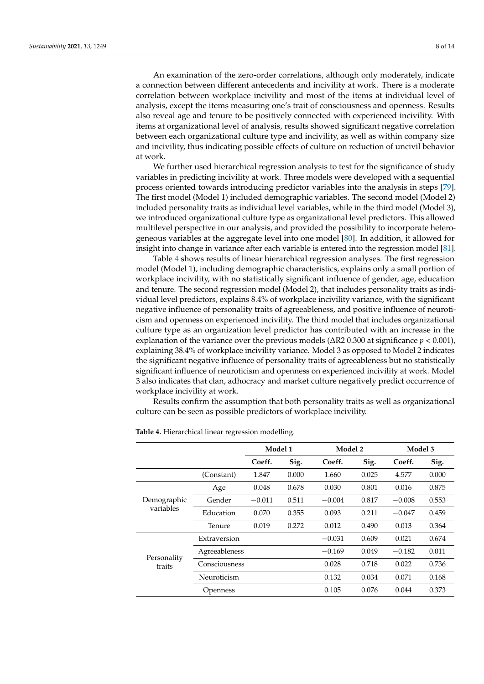An examination of the zero-order correlations, although only moderately, indicate a connection between different antecedents and incivility at work. There is a moderate correlation between workplace incivility and most of the items at individual level of analysis, except the items measuring one's trait of consciousness and openness. Results also reveal age and tenure to be positively connected with experienced incivility. With items at organizational level of analysis, results showed significant negative correlation between each organizational culture type and incivility, as well as within company size and incivility, thus indicating possible effects of culture on reduction of uncivil behavior at work.

We further used hierarchical regression analysis to test for the significance of study variables in predicting incivility at work. Three models were developed with a sequential process oriented towards introducing predictor variables into the analysis in steps [\[79\]](#page-13-4). The first model (Model 1) included demographic variables. The second model (Model 2) included personality traits as individual level variables, while in the third model (Model 3), we introduced organizational culture type as organizational level predictors. This allowed multilevel perspective in our analysis, and provided the possibility to incorporate heterogeneous variables at the aggregate level into one model [\[80\]](#page-13-5). In addition, it allowed for insight into change in variance after each variable is entered into the regression model [\[81\]](#page-13-6).

Table [4](#page-8-0) shows results of linear hierarchical regression analyses. The first regression model (Model 1), including demographic characteristics, explains only a small portion of workplace incivility, with no statistically significant influence of gender, age, education and tenure. The second regression model (Model 2), that includes personality traits as individual level predictors, explains 8.4% of workplace incivility variance, with the significant negative influence of personality traits of agreeableness, and positive influence of neuroticism and openness on experienced incivility. The third model that includes organizational culture type as an organization level predictor has contributed with an increase in the explanation of the variance over the previous models (∆R2 0.300 at significance *p* < 0.001), explaining 38.4% of workplace incivility variance. Model 3 as opposed to Model 2 indicates the significant negative influence of personality traits of agreeableness but no statistically significant influence of neuroticism and openness on experienced incivility at work. Model 3 also indicates that clan, adhocracy and market culture negatively predict occurrence of workplace incivility at work.

Results confirm the assumption that both personality traits as well as organizational culture can be seen as possible predictors of workplace incivility.

|                          |               | Model 1  |       | Model 2  |       | Model 3  |       |  |  |
|--------------------------|---------------|----------|-------|----------|-------|----------|-------|--|--|
|                          |               | Coeff.   | Sig.  | Coeff.   | Sig.  | Coeff.   | Sig.  |  |  |
|                          | (Constant)    | 1.847    | 0.000 | 1.660    | 0.025 | 4.577    | 0.000 |  |  |
| Demographic<br>variables | Age           | 0.048    | 0.678 | 0.030    | 0.801 | 0.016    | 0.875 |  |  |
|                          | Gender        | $-0.011$ | 0.511 | $-0.004$ | 0.817 | $-0.008$ | 0.553 |  |  |
|                          | Education     | 0.070    | 0.355 | 0.093    | 0.211 | $-0.047$ | 0.459 |  |  |
|                          | Tenure        | 0.019    | 0.272 | 0.012    | 0.490 | 0.013    | 0.364 |  |  |
| Personality<br>traits    | Extraversion  |          |       | $-0.031$ | 0.609 | 0.021    | 0.674 |  |  |
|                          | Agreeableness |          |       | $-0.169$ | 0.049 | $-0.182$ | 0.011 |  |  |
|                          | Consciousness |          |       | 0.028    | 0.718 | 0.022    | 0.736 |  |  |
|                          | Neuroticism   |          |       | 0.132    | 0.034 | 0.071    | 0.168 |  |  |
|                          | Openness      |          |       | 0.105    | 0.076 | 0.044    | 0.373 |  |  |

**Table 4.** Hierarchical linear regression modelling.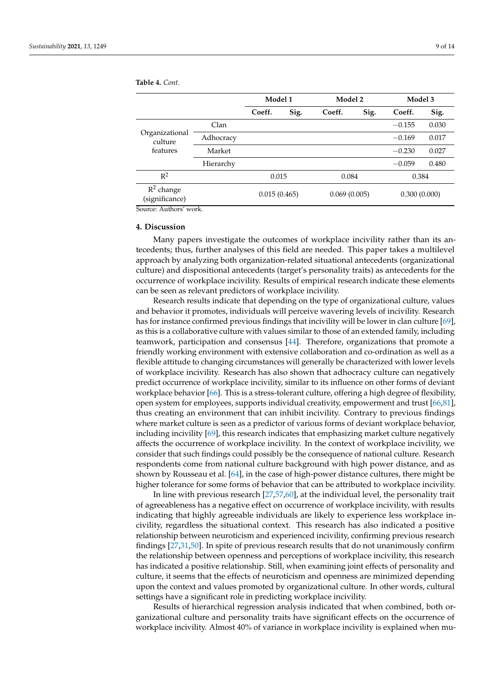**Model 1 Model 2 Model 3 Coeff. Sig. Coeff. Sig. Coeff. Sig.** Organizational culture features  $-0.155$  0.030 Adhocracy −0.169 0.017 Market −0.230 0.027 Hierarchy −0.059 0.480  $R^2$ 2 0.015 0.084 0.384 R 2 change (significance) 0.015 (0.465) 0.069 (0.005) 0.300 (0.000)

<span id="page-8-0"></span>**Table 4.** *Cont.*

Source: Authors' work.

## **4. Discussion**

Many papers investigate the outcomes of workplace incivility rather than its antecedents; thus, further analyses of this field are needed. This paper takes a multilevel approach by analyzing both organization-related situational antecedents (organizational culture) and dispositional antecedents (target's personality traits) as antecedents for the occurrence of workplace incivility. Results of empirical research indicate these elements can be seen as relevant predictors of workplace incivility.

Research results indicate that depending on the type of organizational culture, values and behavior it promotes, individuals will perceive wavering levels of incivility. Research has for instance confirmed previous findings that incivility will be lower in clan culture [\[69\]](#page-12-24), as this is a collaborative culture with values similar to those of an extended family, including teamwork, participation and consensus [\[44\]](#page-11-30). Therefore, organizations that promote a friendly working environment with extensive collaboration and co-ordination as well as a flexible attitude to changing circumstances will generally be characterized with lower levels of workplace incivility. Research has also shown that adhocracy culture can negatively predict occurrence of workplace incivility, similar to its influence on other forms of deviant workplace behavior [\[66\]](#page-12-21). This is a stress-tolerant culture, offering a high degree of flexibility, open system for employees, supports individual creativity, empowerment and trust [\[66](#page-12-21)[,81\]](#page-13-6), thus creating an environment that can inhibit incivility. Contrary to previous findings where market culture is seen as a predictor of various forms of deviant workplace behavior, including incivility [\[69\]](#page-12-24), this research indicates that emphasizing market culture negatively affects the occurrence of workplace incivility. In the context of workplace incivility, we consider that such findings could possibly be the consequence of national culture. Research respondents come from national culture background with high power distance, and as shown by Rousseau et al. [\[64\]](#page-12-19), in the case of high-power distance cultures, there might be higher tolerance for some forms of behavior that can be attributed to workplace incivility.

In line with previous research [\[27,](#page-11-13)[57,](#page-12-12)[60\]](#page-12-15), at the individual level, the personality trait of agreeableness has a negative effect on occurrence of workplace incivility, with results indicating that highly agreeable individuals are likely to experience less workplace incivility, regardless the situational context. This research has also indicated a positive relationship between neuroticism and experienced incivility, confirming previous research findings [\[27,](#page-11-13)[31,](#page-11-17)[50\]](#page-12-5). In spite of previous research results that do not unanimously confirm the relationship between openness and perceptions of workplace incivility, this research has indicated a positive relationship. Still, when examining joint effects of personality and culture, it seems that the effects of neuroticism and openness are minimized depending upon the context and values promoted by organizational culture. In other words, cultural settings have a significant role in predicting workplace incivility.

Results of hierarchical regression analysis indicated that when combined, both organizational culture and personality traits have significant effects on the occurrence of workplace incivility. Almost 40% of variance in workplace incivility is explained when mu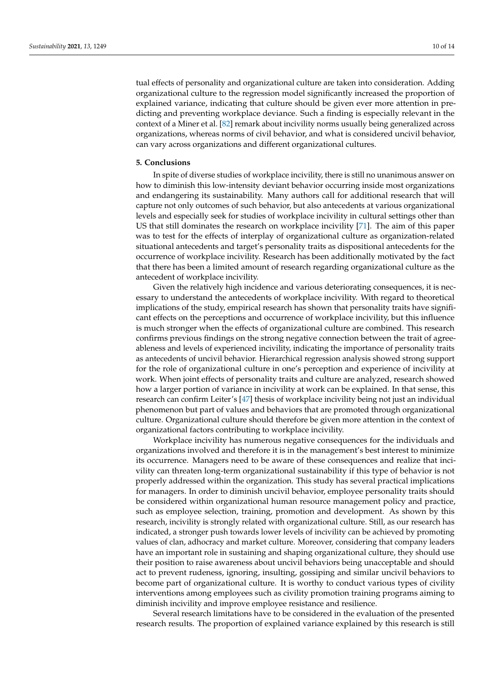tual effects of personality and organizational culture are taken into consideration. Adding organizational culture to the regression model significantly increased the proportion of explained variance, indicating that culture should be given ever more attention in predicting and preventing workplace deviance. Such a finding is especially relevant in the context of a Miner et al. [\[82\]](#page-13-7) remark about incivility norms usually being generalized across organizations, whereas norms of civil behavior, and what is considered uncivil behavior, can vary across organizations and different organizational cultures.

#### **5. Conclusions**

In spite of diverse studies of workplace incivility, there is still no unanimous answer on how to diminish this low-intensity deviant behavior occurring inside most organizations and endangering its sustainability. Many authors call for additional research that will capture not only outcomes of such behavior, but also antecedents at various organizational levels and especially seek for studies of workplace incivility in cultural settings other than US that still dominates the research on workplace incivility [\[71\]](#page-12-26). The aim of this paper was to test for the effects of interplay of organizational culture as organization-related situational antecedents and target's personality traits as dispositional antecedents for the occurrence of workplace incivility. Research has been additionally motivated by the fact that there has been a limited amount of research regarding organizational culture as the antecedent of workplace incivility.

Given the relatively high incidence and various deteriorating consequences, it is necessary to understand the antecedents of workplace incivility. With regard to theoretical implications of the study, empirical research has shown that personality traits have significant effects on the perceptions and occurrence of workplace incivility, but this influence is much stronger when the effects of organizational culture are combined. This research confirms previous findings on the strong negative connection between the trait of agreeableness and levels of experienced incivility, indicating the importance of personality traits as antecedents of uncivil behavior. Hierarchical regression analysis showed strong support for the role of organizational culture in one's perception and experience of incivility at work. When joint effects of personality traits and culture are analyzed, research showed how a larger portion of variance in incivility at work can be explained. In that sense, this research can confirm Leiter's [\[47\]](#page-12-2) thesis of workplace incivility being not just an individual phenomenon but part of values and behaviors that are promoted through organizational culture. Organizational culture should therefore be given more attention in the context of organizational factors contributing to workplace incivility.

Workplace incivility has numerous negative consequences for the individuals and organizations involved and therefore it is in the management's best interest to minimize its occurrence. Managers need to be aware of these consequences and realize that incivility can threaten long-term organizational sustainability if this type of behavior is not properly addressed within the organization. This study has several practical implications for managers. In order to diminish uncivil behavior, employee personality traits should be considered within organizational human resource management policy and practice, such as employee selection, training, promotion and development. As shown by this research, incivility is strongly related with organizational culture. Still, as our research has indicated, a stronger push towards lower levels of incivility can be achieved by promoting values of clan, adhocracy and market culture. Moreover, considering that company leaders have an important role in sustaining and shaping organizational culture, they should use their position to raise awareness about uncivil behaviors being unacceptable and should act to prevent rudeness, ignoring, insulting, gossiping and similar uncivil behaviors to become part of organizational culture. It is worthy to conduct various types of civility interventions among employees such as civility promotion training programs aiming to diminish incivility and improve employee resistance and resilience.

Several research limitations have to be considered in the evaluation of the presented research results. The proportion of explained variance explained by this research is still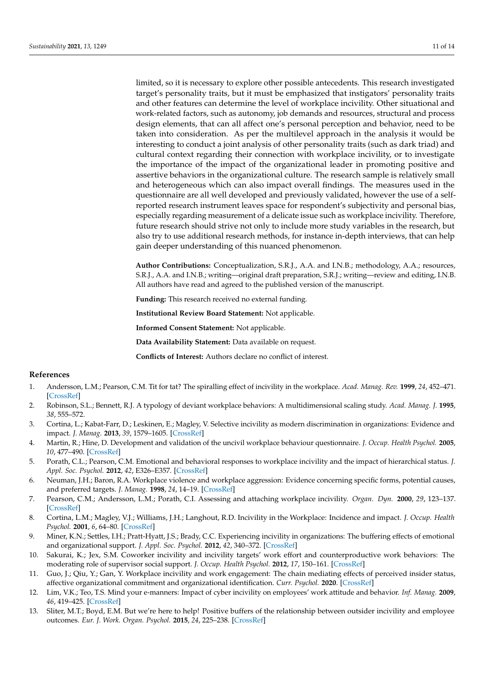limited, so it is necessary to explore other possible antecedents. This research investigated target's personality traits, but it must be emphasized that instigators' personality traits and other features can determine the level of workplace incivility. Other situational and work-related factors, such as autonomy, job demands and resources, structural and process design elements, that can all affect one's personal perception and behavior, need to be taken into consideration. As per the multilevel approach in the analysis it would be interesting to conduct a joint analysis of other personality traits (such as dark triad) and cultural context regarding their connection with workplace incivility, or to investigate the importance of the impact of the organizational leader in promoting positive and assertive behaviors in the organizational culture. The research sample is relatively small and heterogeneous which can also impact overall findings. The measures used in the questionnaire are all well developed and previously validated, however the use of a selfreported research instrument leaves space for respondent's subjectivity and personal bias, especially regarding measurement of a delicate issue such as workplace incivility. Therefore, future research should strive not only to include more study variables in the research, but also try to use additional research methods, for instance in-depth interviews, that can help gain deeper understanding of this nuanced phenomenon.

**Author Contributions:** Conceptualization, S.R.J., A.A. and I.N.B.; methodology, A.A.; resources, S.R.J., A.A. and I.N.B.; writing—original draft preparation, S.R.J.; writing—review and editing, I.N.B. All authors have read and agreed to the published version of the manuscript.

**Funding:** This research received no external funding.

**Institutional Review Board Statement:** Not applicable.

**Informed Consent Statement:** Not applicable.

**Data Availability Statement:** Data available on request.

**Conflicts of Interest:** Authors declare no conflict of interest.

# **References**

- <span id="page-10-0"></span>1. Andersson, L.M.; Pearson, C.M. Tit for tat? The spiralling effect of incivility in the workplace. *Acad. Manag. Rev.* **1999**, *24*, 452–471. [\[CrossRef\]](http://doi.org/10.5465/amr.1999.2202131)
- <span id="page-10-1"></span>2. Robinson, S.L.; Bennett, R.J. A typology of deviant workplace behaviors: A multidimensional scaling study. *Acad. Manag. J.* **1995**, *38*, 555–572.
- <span id="page-10-2"></span>3. Cortina, L.; Kabat-Farr, D.; Leskinen, E.; Magley, V. Selective incivility as modern discrimination in organizations: Evidence and impact. *J. Manag.* **2013**, *39*, 1579–1605. [\[CrossRef\]](http://doi.org/10.1177/0149206311418835)
- <span id="page-10-3"></span>4. Martin, R.; Hine, D. Development and validation of the uncivil workplace behaviour questionnaire. *J. Occup. Health Psychol.* **2005**, *10*, 477–490. [\[CrossRef\]](http://doi.org/10.1037/1076-8998.10.4.477)
- <span id="page-10-4"></span>5. Porath, C.L.; Pearson, C.M. Emotional and behavioral responses to workplace incivility and the impact of hierarchical status. *J. Appl. Soc. Psychol.* **2012**, *42*, E326–E357. [\[CrossRef\]](http://doi.org/10.1111/j.1559-1816.2012.01020.x)
- <span id="page-10-5"></span>6. Neuman, J.H.; Baron, R.A. Workplace violence and workplace aggression: Evidence concerning specific forms, potential causes, and preferred targets. *J. Manag.* **1998**, *24*, 14–19. [\[CrossRef\]](http://doi.org/10.1177/014920639802400305)
- <span id="page-10-6"></span>7. Pearson, C.M.; Andersson, L.M.; Porath, C.I. Assessing and attaching workplace incivility. *Organ. Dyn.* **2000**, *29*, 123–137. [\[CrossRef\]](http://doi.org/10.1016/S0090-2616(00)00019-X)
- <span id="page-10-7"></span>8. Cortina, L.M.; Magley, V.J.; Williams, J.H.; Langhout, R.D. Incivility in the Workplace: Incidence and impact. *J. Occup. Health Psychol.* **2001**, *6*, 64–80. [\[CrossRef\]](http://doi.org/10.1037/1076-8998.6.1.64)
- <span id="page-10-8"></span>9. Miner, K.N.; Settles, I.H.; Pratt-Hyatt, J.S.; Brady, C.C. Experiencing incivility in organizations: The buffering effects of emotional and organizational support. *J. Appl. Soc. Psychol.* **2012**, *42*, 340–372. [\[CrossRef\]](http://doi.org/10.1111/j.1559-1816.2011.00891.x)
- <span id="page-10-9"></span>10. Sakurai, K.; Jex, S.M. Coworker incivility and incivility targets' work effort and counterproductive work behaviors: The moderating role of supervisor social support. *J. Occup. Health Psychol.* **2012**, *17*, 150–161. [\[CrossRef\]](http://doi.org/10.1037/a0027350)
- <span id="page-10-10"></span>11. Guo, J.; Qiu, Y.; Gan, Y. Workplace incivility and work engagement: The chain mediating effects of perceived insider status, affective organizational commitment and organizational identification. *Curr. Psychol.* **2020**. [\[CrossRef\]](http://doi.org/10.1007/s12144-020-00699-z)
- <span id="page-10-11"></span>12. Lim, V.K.; Teo, T.S. Mind your e-manners: Impact of cyber incivility on employees' work attitude and behavior. *Inf. Manag.* **2009**, *46*, 419–425. [\[CrossRef\]](http://doi.org/10.1016/j.im.2009.06.006)
- <span id="page-10-12"></span>13. Sliter, M.T.; Boyd, E.M. But we're here to help! Positive buffers of the relationship between outsider incivility and employee outcomes. *Eur. J. Work. Organ. Psychol.* **2015**, *24*, 225–238. [\[CrossRef\]](http://doi.org/10.1080/1359432X.2014.903240)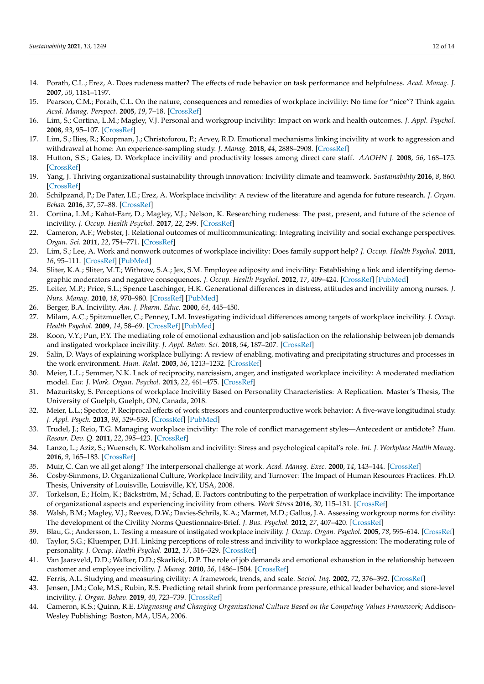- <span id="page-11-0"></span>14. Porath, C.L.; Erez, A. Does rudeness matter? The effects of rude behavior on task performance and helpfulness. *Acad. Manag. J.* **2007**, *50*, 1181–1197.
- <span id="page-11-1"></span>15. Pearson, C.M.; Porath, C.L. On the nature, consequences and remedies of workplace incivility: No time for "nice"? Think again. *Acad. Manag. Perspect.* **2005**, *19*, 7–18. [\[CrossRef\]](http://doi.org/10.5465/ame.2005.15841946)
- <span id="page-11-2"></span>16. Lim, S.; Cortina, L.M.; Magley, V.J. Personal and workgroup incivility: Impact on work and health outcomes. *J. Appl. Psychol.* **2008**, *93*, 95–107. [\[CrossRef\]](http://doi.org/10.1037/0021-9010.93.1.95)
- <span id="page-11-3"></span>17. Lim, S.; Ilies, R.; Koopman, J.; Christoforou, P.; Arvey, R.D. Emotional mechanisms linking incivility at work to aggression and withdrawal at home: An experience-sampling study. *J. Manag.* **2018**, *44*, 2888–2908. [\[CrossRef\]](http://doi.org/10.1177/0149206316654544)
- <span id="page-11-4"></span>18. Hutton, S.S.; Gates, D. Workplace incivility and productivity losses among direct care staff. *AAOHN J.* **2008**, *56*, 168–175. [\[CrossRef\]](http://doi.org/10.3928/08910162-20080401-01)
- <span id="page-11-5"></span>19. Yang, J. Thriving organizational sustainability through innovation: Incivility climate and teamwork. *Sustainability* **2016**, *8*, 860. [\[CrossRef\]](http://doi.org/10.3390/su8090860)
- <span id="page-11-6"></span>20. Schilpzand, P.; De Pater, I.E.; Erez, A. Workplace incivility: A review of the literature and agenda for future research. *J. Organ. Behav.* **2016**, *37*, 57–88. [\[CrossRef\]](http://doi.org/10.1002/job.1976)
- <span id="page-11-7"></span>21. Cortina, L.M.; Kabat-Farr, D.; Magley, V.J.; Nelson, K. Researching rudeness: The past, present, and future of the science of incivility. *J. Occup. Health Psychol.* **2017**, *22*, 299. [\[CrossRef\]](http://doi.org/10.1037/ocp0000089)
- <span id="page-11-8"></span>22. Cameron, A.F.; Webster, J. Relational outcomes of multicommunicating: Integrating incivility and social exchange perspectives. *Organ. Sci.* **2011**, *22*, 754–771. [\[CrossRef\]](http://doi.org/10.1287/orsc.1100.0540)
- <span id="page-11-9"></span>23. Lim, S.; Lee, A. Work and nonwork outcomes of workplace incivility: Does family support help? *J. Occup. Health Psychol.* **2011**, *16*, 95–111. [\[CrossRef\]](http://doi.org/10.1037/a0021726) [\[PubMed\]](http://www.ncbi.nlm.nih.gov/pubmed/21280947)
- <span id="page-11-10"></span>24. Sliter, K.A.; Sliter, M.T.; Withrow, S.A.; Jex, S.M. Employee adiposity and incivility: Establishing a link and identifying demographic moderators and negative consequences. *J. Occup. Health Psychol.* **2012**, *17*, 409–424. [\[CrossRef\]](http://doi.org/10.1037/a0029862) [\[PubMed\]](http://www.ncbi.nlm.nih.gov/pubmed/23066694)
- <span id="page-11-11"></span>25. Leiter, M.P.; Price, S.L.; Spence Laschinger, H.K. Generational differences in distress, attitudes and incivility among nurses. *J. Nurs. Manag.* **2010**, *18*, 970–980. [\[CrossRef\]](http://doi.org/10.1111/j.1365-2834.2010.01168.x) [\[PubMed\]](http://www.ncbi.nlm.nih.gov/pubmed/21073569)
- <span id="page-11-12"></span>26. Berger, B.A. Incivility. *Am. J. Pharm. Educ.* **2000**, *64*, 445–450.
- <span id="page-11-13"></span>27. Milam, A.C.; Spitzmueller, C.; Penney, L.M. Investigating individual differences among targets of workplace incivility. *J. Occup. Health Psychol.* **2009**, *14*, 58–69. [\[CrossRef\]](http://doi.org/10.1037/a0012683) [\[PubMed\]](http://www.ncbi.nlm.nih.gov/pubmed/19210047)
- <span id="page-11-14"></span>28. Koon, V.Y.; Pun, P.Y. The mediating role of emotional exhaustion and job satisfaction on the relationship between job demands and instigated workplace incivility. *J. Appl. Behav. Sci.* **2018**, *54*, 187–207. [\[CrossRef\]](http://doi.org/10.1177/0021886317749163)
- <span id="page-11-15"></span>29. Salin, D. Ways of explaining workplace bullying: A review of enabling, motivating and precipitating structures and processes in the work environment. *Hum. Relat.* **2003**, *56*, 1213–1232. [\[CrossRef\]](http://doi.org/10.1177/00187267035610003)
- <span id="page-11-16"></span>30. Meier, L.L.; Semmer, N.K. Lack of reciprocity, narcissism, anger, and instigated workplace incivility: A moderated mediation model. *Eur. J. Work. Organ. Psychol.* **2013**, *22*, 461–475. [\[CrossRef\]](http://doi.org/10.1080/1359432X.2012.654605)
- <span id="page-11-17"></span>31. Mazuritsky, S. Perceptions of workplace Incivility Based on Personality Characteristics: A Replication. Master's Thesis, The University of Guelph, Guelph, ON, Canada, 2018.
- <span id="page-11-18"></span>32. Meier, L.L.; Spector, P. Reciprocal effects of work stressors and counterproductive work behavior: A five-wave longitudinal study. *J. Appl. Psych.* **2013**, *98*, 529–539. [\[CrossRef\]](http://doi.org/10.1037/a0031732) [\[PubMed\]](http://www.ncbi.nlm.nih.gov/pubmed/23379915)
- <span id="page-11-19"></span>33. Trudel, J.; Reio, T.G. Managing workplace incivility: The role of conflict management styles—Antecedent or antidote? *Hum. Resour. Dev. Q.* **2011**, *22*, 395–423. [\[CrossRef\]](http://doi.org/10.1002/hrdq.20081)
- <span id="page-11-20"></span>34. Lanzo, L.; Aziz, S.; Wuensch, K. Workaholism and incivility: Stress and psychological capital's role. *Int. J. Workplace Health Manag.* **2016**, *9*, 165–183. [\[CrossRef\]](http://doi.org/10.1108/IJWHM-08-2015-0051)
- <span id="page-11-21"></span>35. Muir, C. Can we all get along? The interpersonal challenge at work. *Acad. Manag. Exec.* **2000**, *14*, 143–144. [\[CrossRef\]](http://doi.org/10.5465/ame.2000.3979823)
- <span id="page-11-22"></span>36. Cosby-Simmons, D. Organizational Culture, Workplace Incivility, and Turnover: The Impact of Human Resources Practices. Ph.D. Thesis, University of Louisville, Louisville, KY, USA, 2008.
- <span id="page-11-23"></span>37. Torkelson, E.; Holm, K.; Bäckström, M.; Schad, E. Factors contributing to the perpetration of workplace incivility: The importance of organizational aspects and experiencing incivility from others. *Work Stress* **2016**, *30*, 115–131. [\[CrossRef\]](http://doi.org/10.1080/02678373.2016.1175524)
- <span id="page-11-24"></span>38. Walsh, B.M.; Magley, V.J.; Reeves, D.W.; Davies-Schrils, K.A.; Marmet, M.D.; Gallus, J.A. Assessing workgroup norms for civility: The development of the Civility Norms Questionnaire-Brief. *J. Bus. Psychol.* **2012**, *27*, 407–420. [\[CrossRef\]](http://doi.org/10.1007/s10869-011-9251-4)
- <span id="page-11-25"></span>39. Blau, G.; Andersson, L. Testing a measure of instigated workplace incivility. *J. Occup. Organ. Psychol.* **2005**, *78*, 595–614. [\[CrossRef\]](http://doi.org/10.1348/096317905X26822)
- <span id="page-11-26"></span>40. Taylor, S.G.; Kluemper, D.H. Linking perceptions of role stress and incivility to workplace aggression: The moderating role of personality. *J. Occup. Health Psychol.* **2012**, *17*, 316–329. [\[CrossRef\]](http://doi.org/10.1037/a0028211)
- <span id="page-11-27"></span>41. Van Jaarsveld, D.D.; Walker, D.D.; Skarlicki, D.P. The role of job demands and emotional exhaustion in the relationship between customer and employee incivility. *J. Manag.* **2010**, *36*, 1486–1504. [\[CrossRef\]](http://doi.org/10.1177/0149206310368998)
- <span id="page-11-28"></span>42. Ferris, A.L. Studying and measuring civility: A framework, trends, and scale. *Sociol. Inq.* **2002**, *72*, 376–392. [\[CrossRef\]](http://doi.org/10.1111/1475-682X.t01-1-00023)
- <span id="page-11-29"></span>43. Jensen, J.M.; Cole, M.S.; Rubin, R.S. Predicting retail shrink from performance pressure, ethical leader behavior, and store-level incivility. *J. Organ. Behav.* **2019**, *40*, 723–739. [\[CrossRef\]](http://doi.org/10.1002/job.2366)
- <span id="page-11-30"></span>44. Cameron, K.S.; Quinn, R.E. *Diagnosing and Changing Organizational Culture Based on the Competing Values Framework*; Addison-Wesley Publishing: Boston, MA, USA, 2006.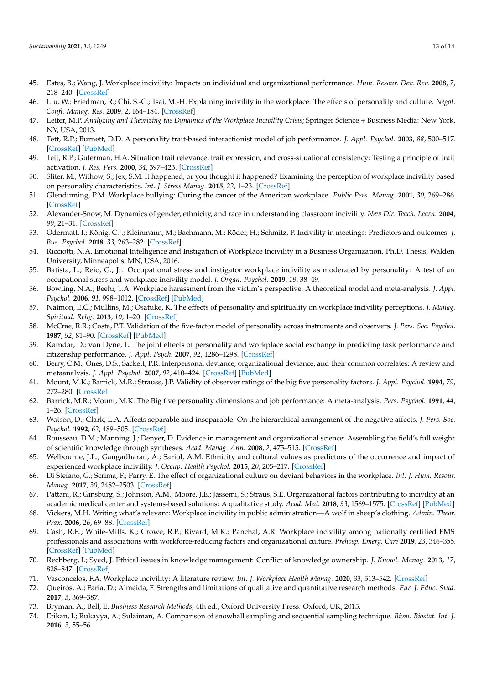- <span id="page-12-0"></span>45. Estes, B.; Wang, J. Workplace incivility: Impacts on individual and organizational performance. *Hum. Resour. Dev. Rev.* **2008**, *7*, 218–240. [\[CrossRef\]](http://doi.org/10.1177/1534484308315565)
- <span id="page-12-1"></span>46. Liu, W.; Friedman, R.; Chi, S.-C.; Tsai, M.-H. Explaining incivility in the workplace: The effects of personality and culture. *Negot. Confl. Manag. Res.* **2009**, *2*, 164–184. [\[CrossRef\]](http://doi.org/10.1111/j.1750-4716.2009.00035.x)
- <span id="page-12-2"></span>47. Leiter, M.P. *Analyzing and Theorizing the Dynamics of the Workplace Incivility Crisis*; Springer Science + Business Media: New York, NY, USA, 2013.
- <span id="page-12-3"></span>48. Tett, R.P.; Burnett, D.D. A personality trait-based interactionist model of job performance. *J. Appl. Psychol.* **2003**, *88*, 500–517. [\[CrossRef\]](http://doi.org/10.1037/0021-9010.88.3.500) [\[PubMed\]](http://www.ncbi.nlm.nih.gov/pubmed/12814298)
- <span id="page-12-4"></span>49. Tett, R.P.; Guterman, H.A. Situation trait relevance, trait expression, and cross-situational consistency: Testing a principle of trait activation. *J. Res. Pers.* **2000**, *34*, 397–423. [\[CrossRef\]](http://doi.org/10.1006/jrpe.2000.2292)
- <span id="page-12-5"></span>50. Sliter, M.; Withow, S.; Jex, S.M. It happened, or you thought it happened? Examining the perception of workplace incivility based on personality characteristics. *Int. J. Stress Manag.* **2015**, *22*, 1–23. [\[CrossRef\]](http://doi.org/10.1037/a0038329)
- <span id="page-12-6"></span>51. Glendinning, P.M. Workplace bullying: Curing the cancer of the American workplace. *Public Pers. Manag.* **2001**, *30*, 269–286. [\[CrossRef\]](http://doi.org/10.1177/009102600103000301)
- <span id="page-12-7"></span>52. Alexander-Snow, M. Dynamics of gender, ethnicity, and race in understanding classroom incivility. *New Dir. Teach. Learn.* **2004**, *99*, 21–31. [\[CrossRef\]](http://doi.org/10.1002/tl.155)
- <span id="page-12-8"></span>53. Odermatt, I.; König, C.J.; Kleinmann, M.; Bachmann, M.; Röder, H.; Schmitz, P. Incivility in meetings: Predictors and outcomes. *J. Bus. Psychol.* **2018**, *33*, 263–282. [\[CrossRef\]](http://doi.org/10.1007/s10869-017-9490-0)
- <span id="page-12-9"></span>54. Ricciotti, N.A. Emotional Intelligence and Instigation of Workplace Incivility in a Business Organization. Ph.D. Thesis, Walden University, Minneapolis, MN, USA, 2016.
- <span id="page-12-10"></span>55. Batista, L.; Reio, G., Jr. Occupational stress and instigator workplace incivility as moderated by personality: A test of an occupational stress and workplace incivility model. *J. Organ. Psychol.* **2019**, *19*, 38–49.
- <span id="page-12-11"></span>56. Bowling, N.A.; Beehr, T.A. Workplace harassment from the victim's perspective: A theoretical model and meta-analysis. *J. Appl. Psychol.* **2006**, *91*, 998–1012. [\[CrossRef\]](http://doi.org/10.1037/0021-9010.91.5.998) [\[PubMed\]](http://www.ncbi.nlm.nih.gov/pubmed/16953764)
- <span id="page-12-12"></span>57. Naimon, E.C.; Mullins, M.; Osatuke, K. The effects of personality and spirituality on workplace incivility perceptions. *J. Manag. Spiritual. Relig.* **2013**, *10*, 1–20. [\[CrossRef\]](http://doi.org/10.1080/14766086.2012.758049)
- <span id="page-12-13"></span>58. McCrae, R.R.; Costa, P.T. Validation of the five-factor model of personality across instruments and observers. *J. Pers. Soc. Psychol.* **1987**, *52*, 81–90. [\[CrossRef\]](http://doi.org/10.1037/0022-3514.52.1.81) [\[PubMed\]](http://www.ncbi.nlm.nih.gov/pubmed/3820081)
- <span id="page-12-14"></span>59. Kamdar, D.; van Dyne, L. The joint effects of personality and workplace social exchange in predicting task performance and citizenship performance. *J. Appl. Psych.* **2007**, *92*, 1286–1298. [\[CrossRef\]](http://doi.org/10.1037/0021-9010.92.5.1286)
- <span id="page-12-15"></span>60. Berry, C.M.; Ones, D.S.; Sackett, P.R. Interpersonal deviance, organizational deviance, and their common correlates: A review and metaanalysis. *J. Appl. Psychol.* **2007**, *92*, 410–424. [\[CrossRef\]](http://doi.org/10.1037/0021-9010.92.2.410) [\[PubMed\]](http://www.ncbi.nlm.nih.gov/pubmed/17371088)
- <span id="page-12-16"></span>61. Mount, M.K.; Barrick, M.R.; Strauss, J.P. Validity of observer ratings of the big five personality factors. *J. Appl. Psychol.* **1994**, *79*, 272–280. [\[CrossRef\]](http://doi.org/10.1037/0021-9010.79.2.272)
- <span id="page-12-17"></span>62. Barrick, M.R.; Mount, M.K. The Big five personality dimensions and job performance: A meta-analysis. *Pers. Psychol.* **1991**, *44*, 1–26. [\[CrossRef\]](http://doi.org/10.1111/j.1744-6570.1991.tb00688.x)
- <span id="page-12-18"></span>63. Watson, D.; Clark, L.A. Affects separable and inseparable: On the hierarchical arrangement of the negative affects. *J. Pers. Soc. Psychol.* **1992**, *62*, 489–505. [\[CrossRef\]](http://doi.org/10.1037/0022-3514.62.3.489)
- <span id="page-12-19"></span>64. Rousseau, D.M.; Manning, J.; Denyer, D. Evidence in management and organizational science: Assembling the field's full weight of scientific knowledge through syntheses. *Acad. Manag. Ann.* **2008**, *2*, 475–515. [\[CrossRef\]](http://doi.org/10.5465/19416520802211651)
- <span id="page-12-20"></span>65. Welbourne, J.L.; Gangadharan, A.; Sariol, A.M. Ethnicity and cultural values as predictors of the occurrence and impact of experienced workplace incivility. *J. Occup. Health Psychol.* **2015**, *20*, 205–217. [\[CrossRef\]](http://doi.org/10.1037/a0038277)
- <span id="page-12-21"></span>66. Di Stefano, G.; Scrima, F.; Parry, E. The effect of organizational culture on deviant behaviors in the workplace. *Int. J. Hum. Resour. Manag.* **2017**, *30*, 2482–2503. [\[CrossRef\]](http://doi.org/10.1080/09585192.2017.1326393)
- <span id="page-12-22"></span>67. Pattani, R.; Ginsburg, S.; Johnson, A.M.; Moore, J.E.; Jassemi, S.; Straus, S.E. Organizational factors contributing to incivility at an academic medical center and systems-based solutions: A qualitative study. *Acad. Med.* **2018**, *93*, 1569–1575. [\[CrossRef\]](http://doi.org/10.1097/ACM.0000000000002310) [\[PubMed\]](http://www.ncbi.nlm.nih.gov/pubmed/29901655)
- <span id="page-12-23"></span>68. Vickers, M.H. Writing what's relevant: Workplace incivility in public administration—A wolf in sheep's clothing. *Admin. Theor. Prax.* **2006**, *26*, 69–88. [\[CrossRef\]](http://doi.org/10.1080/10841806.2006.11029525)
- <span id="page-12-24"></span>69. Cash, R.E.; White-Mills, K.; Crowe, R.P.; Rivard, M.K.; Panchal, A.R. Workplace incivility among nationally certified EMS professionals and associations with workforce-reducing factors and organizational culture. *Prehosp. Emerg. Care* **2019**, *23*, 346–355. [\[CrossRef\]](http://doi.org/10.1080/10903127.2018.1502383) [\[PubMed\]](http://www.ncbi.nlm.nih.gov/pubmed/30118629)
- <span id="page-12-25"></span>70. Rechberg, I.; Syed, J. Ethical issues in knowledge management: Conflict of knowledge ownership. *J. Knowl. Manag.* **2013**, *17*, 828–847. [\[CrossRef\]](http://doi.org/10.1108/JKM-06-2013-0232)
- <span id="page-12-26"></span>71. Vasconcelos, F.A. Workplace incivility: A literature review. *Int. J. Workplace Health Manag.* **2020**, *33*, 513–542. [\[CrossRef\]](http://doi.org/10.1108/IJWHM-11-2019-0137)
- <span id="page-12-27"></span>72. Queirós, A.; Faria, D.; Almeida, F. Strengths and limitations of qualitative and quantitative research methods. *Eur. J. Educ. Stud.* **2017**, *3*, 369–387.
- <span id="page-12-28"></span>73. Bryman, A.; Bell, E. *Business Research Methods*, 4th ed.; Oxford University Press: Oxford, UK, 2015.
- <span id="page-12-29"></span>74. Etikan, I.; Rukayya, A.; Sulaiman, A. Comparison of snowball sampling and sequential sampling technique. *Biom. Biostat. Int. J.* **2016**, *3*, 55–56.